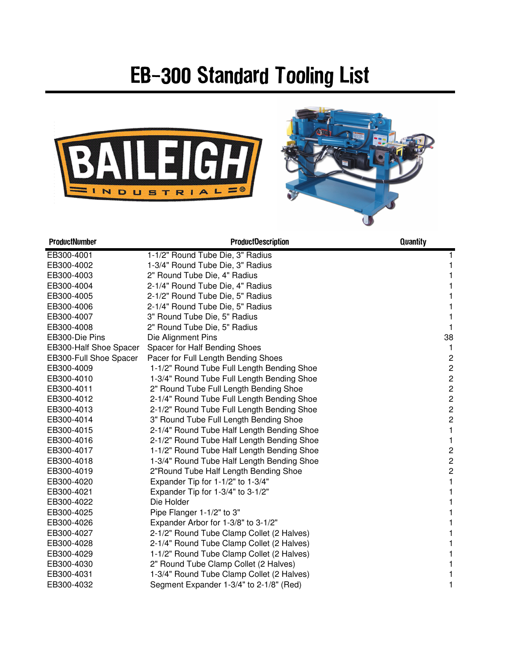## EB-300 Standard Tooling List





| ProductNumber          | <b>ProductDescription</b>                  | Quantity                |
|------------------------|--------------------------------------------|-------------------------|
| EB300-4001             | 1-1/2" Round Tube Die, 3" Radius           |                         |
| EB300-4002             | 1-3/4" Round Tube Die, 3" Radius           |                         |
| EB300-4003             | 2" Round Tube Die, 4" Radius               |                         |
| EB300-4004             | 2-1/4" Round Tube Die, 4" Radius           | 1                       |
| EB300-4005             | 2-1/2" Round Tube Die, 5" Radius           | 1                       |
| EB300-4006             | 2-1/4" Round Tube Die, 5" Radius           | 1                       |
| EB300-4007             | 3" Round Tube Die, 5" Radius               | 1                       |
| EB300-4008             | 2" Round Tube Die, 5" Radius               | 1                       |
| EB300-Die Pins         | Die Alignment Pins                         | 38                      |
| EB300-Half Shoe Spacer | Spacer for Half Bending Shoes              |                         |
| EB300-Full Shoe Spacer | Pacer for Full Length Bending Shoes        | $\overline{c}$          |
| EB300-4009             | 1-1/2" Round Tube Full Length Bending Shoe | $\overline{c}$          |
| EB300-4010             | 1-3/4" Round Tube Full Length Bending Shoe | $\overline{c}$          |
| EB300-4011             | 2" Round Tube Full Length Bending Shoe     | $\overline{c}$          |
| EB300-4012             | 2-1/4" Round Tube Full Length Bending Shoe | $\overline{c}$          |
| EB300-4013             | 2-1/2" Round Tube Full Length Bending Shoe | $\overline{c}$          |
| EB300-4014             | 3" Round Tube Full Length Bending Shoe     | $\overline{\mathbf{c}}$ |
| EB300-4015             | 2-1/4" Round Tube Half Length Bending Shoe | 1                       |
| EB300-4016             | 2-1/2" Round Tube Half Length Bending Shoe | 1                       |
| EB300-4017             | 1-1/2" Round Tube Half Length Bending Shoe | $\overline{\mathbf{c}}$ |
| EB300-4018             | 1-3/4" Round Tube Half Length Bending Shoe | $\overline{c}$          |
| EB300-4019             | 2"Round Tube Half Length Bending Shoe      | $\overline{c}$          |
| EB300-4020             | Expander Tip for 1-1/2" to 1-3/4"          | 1                       |
| EB300-4021             | Expander Tip for 1-3/4" to 3-1/2"          | 1                       |
| EB300-4022             | Die Holder                                 |                         |
| EB300-4025             | Pipe Flanger 1-1/2" to 3"                  | 1                       |
| EB300-4026             | Expander Arbor for 1-3/8" to 3-1/2"        | 1                       |
| EB300-4027             | 2-1/2" Round Tube Clamp Collet (2 Halves)  | 1                       |
| EB300-4028             | 2-1/4" Round Tube Clamp Collet (2 Halves)  | 1                       |
| EB300-4029             | 1-1/2" Round Tube Clamp Collet (2 Halves)  | 1                       |
| EB300-4030             | 2" Round Tube Clamp Collet (2 Halves)      |                         |
| EB300-4031             | 1-3/4" Round Tube Clamp Collet (2 Halves)  |                         |
| EB300-4032             | Segment Expander 1-3/4" to 2-1/8" (Red)    | 1                       |